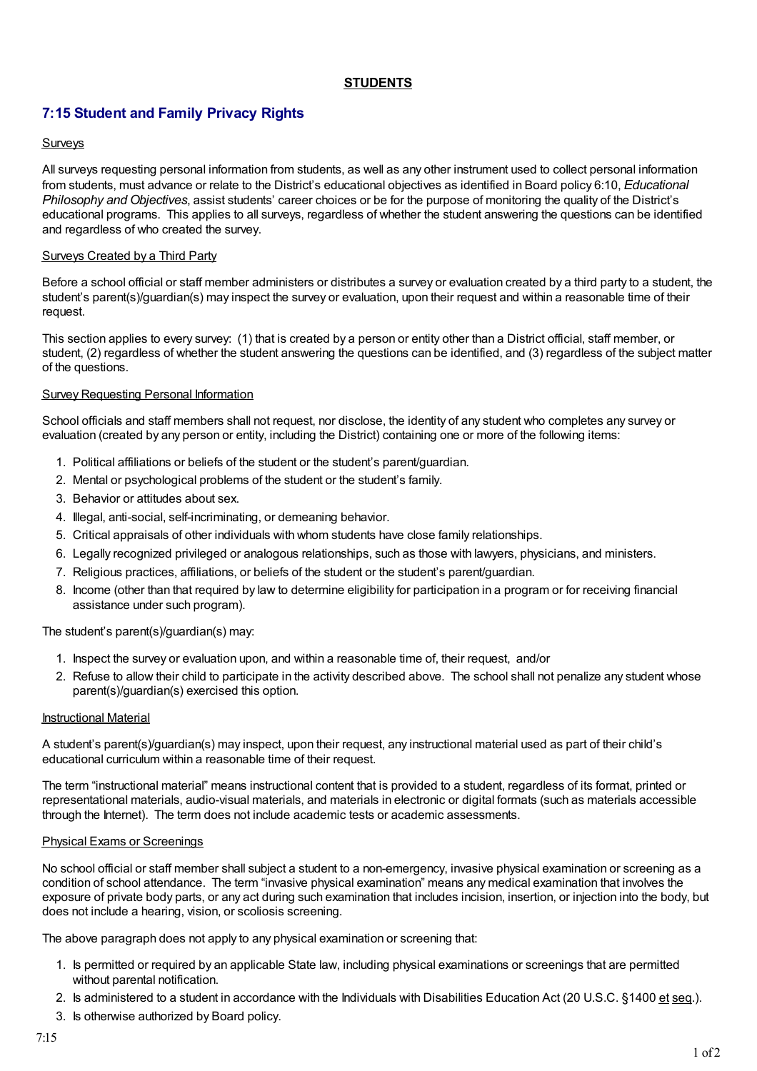# **STUDENTS**

# **7:15 Student and Family Privacy Rights**

## Surveys

All surveys requesting personal information from students, as well as any other instrument used to collect personal information from students, must advance or relate to the District's educational objectives as identified in Board policy 6:10, *Educational Philosophy and Objectives*, assist students' career choices or be for the purpose of monitoring the quality of the District's educational programs. This applies to all surveys, regardless of whether the student answering the questions can be identified and regardless of who created the survey.

## Surveys Created by a Third Party

Before a school official or staff member administers or distributes a survey or evaluation created by a third party to a student, the student's parent(s)/guardian(s) may inspect the survey or evaluation, upon their request and within a reasonable time of their request.

This section applies to every survey: (1) that is created by a person or entity other than a District official, staff member, or student, (2) regardless of whether the student answering the questions can be identified, and (3) regardless of the subject matter of the questions.

## **Survey Requesting Personal Information**

School officials and staff members shall not request, nor disclose, the identity of any student who completes any survey or evaluation (created by any person or entity, including the District) containing one or more of the following items:

- 1. Political affiliations or beliefs of the student or the student's parent/guardian.
- 2. Mental or psychological problems of the student or the student's family.
- 3. Behavior or attitudes about sex.
- 4. Illegal, anti-social, self-incriminating, or demeaning behavior.
- 5. Critical appraisals of other individuals with whom students have close family relationships.
- 6. Legally recognized privileged or analogous relationships, such as those with lawyers, physicians, and ministers.
- 7. Religious practices, affiliations, or beliefs of the student or the student's parent/guardian.
- 8. Income (other than that required by law to determine eligibility for participation in a program or for receiving financial assistance under such program).

The student's parent(s)/guardian(s) may:

- 1. Inspect the survey or evaluation upon, and within a reasonable time of, their request, and/or
- 2. Refuse to allow their child to participate in the activity described above. The school shall not penalize any student whose parent(s)/guardian(s) exercised this option.

#### Instructional Material

A student's parent(s)/guardian(s) may inspect, upon their request, any instructional material used as part of their child's educational curriculum within a reasonable time of their request.

The term "instructional material" means instructional content that is provided to a student, regardless of its format, printed or representational materials, audio-visual materials, and materials in electronic or digital formats (such as materials accessible through the Internet). The term does not include academic tests or academic assessments.

#### Physical Exams or Screenings

No school official or staff member shall subject a student to a non-emergency, invasive physical examination or screening as a condition of school attendance. The term "invasive physical examination" means any medical examination that involves the exposure of private body parts, or any act during such examination that includes incision, insertion, or injection into the body, but does not include a hearing, vision, or scoliosis screening.

The above paragraph does not apply to any physical examination or screening that:

- 1. Is permitted or required by an applicable State law, including physical examinations or screenings that are permitted without parental notification.
- 2. Is administered to a student in accordance with the Individuals with Disabilities Education Act (20 U.S.C. §1400 et seq.).
- 3. Is otherwise authorized by Board policy.